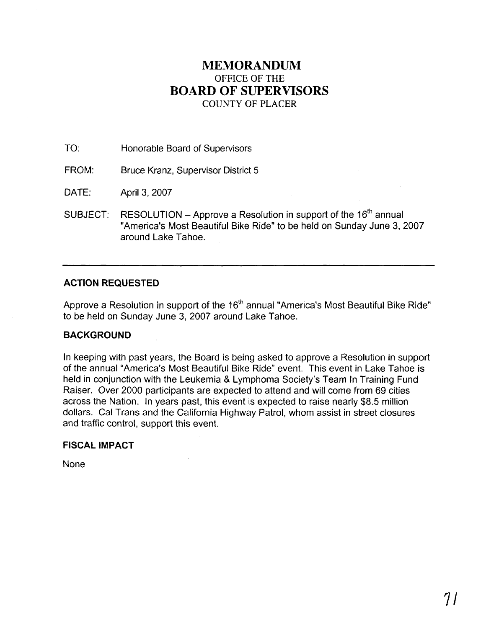## **MEMORANDUM**  OFFICE OF THE **BOARD OF SUPERVISORS**  COUNTY OF PLACER

TO: Honorable Board of Supervisors

FROM: Bruce Kranz, Supervisor District 5

DATE: April 3,2007

SUBJECT: RESOLUTION – Approve a Resolution in support of the  $16<sup>th</sup>$  annual "America's Most Beautiful Bike Ride" to be held on Sunday June **3,** 2007 around Lake Tahoe.

### **ACTION REQUESTED**

Approve a Resolution in support of the  $16<sup>th</sup>$  annual "America's Most Beautiful Bike Ride" to be held on Sunday June 3,2007 around Lake Tahoe.

#### **BACKGROUND**

In keeping with past years, the Board is being asked to approve a Resolution in support of the annual "America's Most Beautiful Bike Ride" event. This event in Lake Tahoe is held in conjunction with the Leukemia & Lymphoma Society's Team In Training Fund Raiser. Over 2000 participants are expected to attend and will come from 69 cities across the Nation. In years past, this event is expected to raise nearly \$8.5 million dollars. Cal Trans and the California Highway Patrol, whom assist in street closures and traffic control, support this event.

#### **FISCAL IMPACT**

None